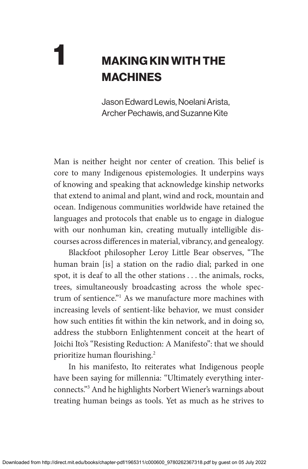# MAKING KIN WITH THE MACHINES

1

Jason Edward Lewis, Noelani Arista, Archer Pechawis, and Suzanne Kite

Man is neither height nor center of creation. This belief is core to many Indigenous epistemologies. It underpins ways of knowing and speaking that acknowledge kinship networks that extend to animal and plant, wind and rock, mountain and ocean. Indigenous communities worldwide have retained the languages and protocols that enable us to engage in dialogue with our nonhuman kin, creating mutually intelligible discourses across differences in material, vibrancy, and genealogy.

Blackfoot philosopher Leroy Little Bear observes, "The human brain [is] a station on the radio dial; parked in one spot, it is deaf to all the other stations . . . the animals, rocks, trees, simultaneously broadcasting across the whole spectrum of sentience."<sup>1</sup> As we manufacture more machines with increasing levels of sentient-like behavior, we must consider how such entities fit within the kin network, and in doing so, address the stubborn Enlightenment conceit at the heart of Joichi Ito's "Resisting Reduction: A Manifesto": that we should prioritize human flourishing.2

In his manifesto, Ito reiterates what Indigenous people have been saying for millennia: "Ultimately everything interconnects."3 And he highlights Norbert Wiener's warnings about treating human beings as tools. Yet as much as he strives to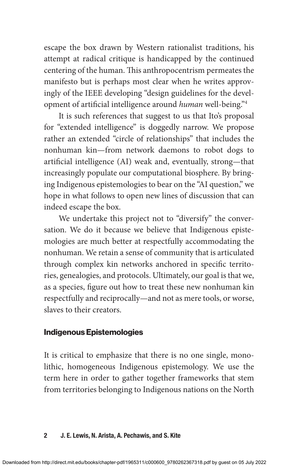escape the box drawn by Western rationalist traditions, his attempt at radical critique is handicapped by the continued centering of the human. This anthropocentrism permeates the manifesto but is perhaps most clear when he writes approvingly of the IEEE developing "design guidelines for the development of artificial intelligence around *human* well-being."4

It is such references that suggest to us that Ito's proposal for "extended intelligence" is doggedly narrow. We propose rather an extended "circle of relationships" that includes the nonhuman kin—from network daemons to robot dogs to artificial intelligence (AI) weak and, eventually, strong—that increasingly populate our computational biosphere. By bringing Indigenous epistemologies to bear on the "AI question," we hope in what follows to open new lines of discussion that can indeed escape the box.

We undertake this project not to "diversify" the conversation. We do it because we believe that Indigenous epistemologies are much better at respectfully accommodating the nonhuman. We retain a sense of community that is articulated through complex kin networks anchored in specific territories, genealogies, and protocols. Ultimately, our goal is that we, as a species, figure out how to treat these new nonhuman kin respectfully and reciprocally—and not as mere tools, or worse, slaves to their creators.

# Indigenous Epistemologies

It is critical to emphasize that there is no one single, monolithic, homogeneous Indigenous epistemology. We use the term here in order to gather together frameworks that stem from territories belonging to Indigenous nations on the North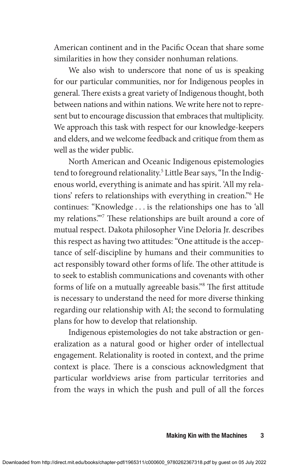American continent and in the Pacific Ocean that share some similarities in how they consider nonhuman relations.

We also wish to underscore that none of us is speaking for our particular communities, nor for Indigenous peoples in general. There exists a great variety of Indigenous thought, both between nations and within nations. We write here not to represent but to encourage discussion that embraces that multiplicity. We approach this task with respect for our knowledge-keepers and elders, and we welcome feedback and critique from them as well as the wider public.

North American and Oceanic Indigenous epistemologies tend to foreground relationality.<sup>5</sup> Little Bear says, "In the Indigenous world, everything is animate and has spirit. 'All my relations' refers to relationships with everything in creation."6 He continues: "Knowledge . . . is the relationships one has to 'all my relations.'"7 These relationships are built around a core of mutual respect. Dakota philosopher Vine Deloria Jr. describes this respect as having two attitudes: "One attitude is the acceptance of self-discipline by humans and their communities to act responsibly toward other forms of life. The other attitude is to seek to establish communications and covenants with other forms of life on a mutually agreeable basis."8 The first attitude is necessary to understand the need for more diverse thinking regarding our relationship with AI; the second to formulating plans for how to develop that relationship.

Indigenous epistemologies do not take abstraction or generalization as a natural good or higher order of intellectual engagement. Relationality is rooted in context, and the prime context is place. There is a conscious acknowledgment that particular worldviews arise from particular territories and from the ways in which the push and pull of all the forces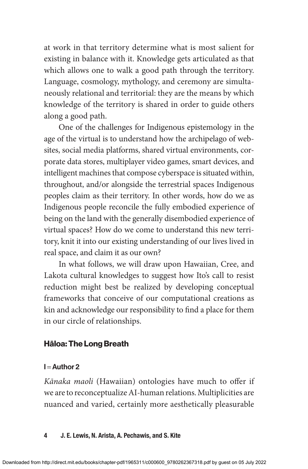at work in that territory determine what is most salient for existing in balance with it. Knowledge gets articulated as that which allows one to walk a good path through the territory. Language, cosmology, mythology, and ceremony are simultaneously relational and territorial: they are the means by which knowledge of the territory is shared in order to guide others along a good path.

One of the challenges for Indigenous epistemology in the age of the virtual is to understand how the archipelago of websites, social media platforms, shared virtual environments, corporate data stores, multiplayer video games, smart devices, and intelligent machines that compose cyberspace is situated within, throughout, and/or alongside the terrestrial spaces Indigenous peoples claim as their territory. In other words, how do we as Indigenous people reconcile the fully embodied experience of being on the land with the generally disembodied experience of virtual spaces? How do we come to understand this new territory, knit it into our existing understanding of our lives lived in real space, and claim it as our own?

In what follows, we will draw upon Hawaiian, Cree, and Lakota cultural knowledges to suggest how Ito's call to resist reduction might best be realized by developing conceptual frameworks that conceive of our computational creations as kin and acknowledge our responsibility to find a place for them in our circle of relationships.

# Hāloa: The Long Breath

### $I =$ Author 2

*Kānaka maoli* (Hawaiian) ontologies have much to offer if we are to reconceptualize AI-human relations. Multiplicities are nuanced and varied, certainly more aesthetically pleasurable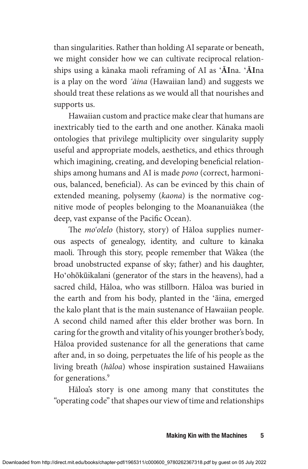than singularities. Rather than holding AI separate or beneath, we might consider how we can cultivate reciprocal relationships using a kānaka maoli reframing of AI as ʻ**ĀI**na. ʻ**ĀI**na is a play on the word *ʻāina* (Hawaiian land) and suggests we should treat these relations as we would all that nourishes and supports us.

Hawaiian custom and practice make clear that humans are inextricably tied to the earth and one another. Kānaka maoli ontologies that privilege multiplicity over singularity supply useful and appropriate models, aesthetics, and ethics through which imagining, creating, and developing beneficial relationships among humans and AI is made *pono* (correct, harmonious, balanced, beneficial). As can be evinced by this chain of extended meaning, polysemy (*kaona*) is the normative cognitive mode of peoples belonging to the Moananuiākea (the deep, vast expanse of the Pacific Ocean).

The *moʻolelo* (history, story) of Hāloa supplies numerous aspects of genealogy, identity, and culture to kānaka maoli. Through this story, people remember that Wākea (the broad unobstructed expanse of sky; father) and his daughter, Hoʻohōkūikalani (generator of the stars in the heavens), had a sacred child, Hāloa, who was stillborn. Hāloa was buried in the earth and from his body, planted in the ʻāina, emerged the kalo plant that is the main sustenance of Hawaiian people. A second child named after this elder brother was born. In caring for the growth and vitality of his younger brother's body, Hāloa provided sustenance for all the generations that came after and, in so doing, perpetuates the life of his people as the living breath (*hāloa*) whose inspiration sustained Hawaiians for generations.<sup>9</sup>

Hāloa's story is one among many that constitutes the "operating code" that shapes our view of time and relationships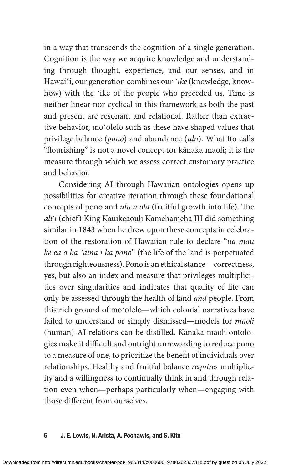in a way that transcends the cognition of a single generation. Cognition is the way we acquire knowledge and understanding through thought, experience, and our senses, and in Hawaiʻi, our generation combines our *ʻike* (knowledge, knowhow) with the ʻike of the people who preceded us. Time is neither linear nor cyclical in this framework as both the past and present are resonant and relational. Rather than extractive behavior, moʻolelo such as these have shaped values that privilege balance (*pono*) and abundance (*ulu*). What Ito calls "flourishing" is not a novel concept for kānaka maoli; it is the measure through which we assess correct customary practice and behavior.

Considering AI through Hawaiian ontologies opens up possibilities for creative iteration through these foundational concepts of pono and *ulu a ola* (fruitful growth into life). The *aliʻi* (chief) King Kauikeaouli Kamehameha III did something similar in 1843 when he drew upon these concepts in celebration of the restoration of Hawaiian rule to declare "*ua mau ke ea o ka ʻāina i ka pono*" (the life of the land is perpetuated through righteousness). Pono is an ethical stance—correctness, yes, but also an index and measure that privileges multiplicities over singularities and indicates that quality of life can only be assessed through the health of land *and* people. From this rich ground of moʻolelo—which colonial narratives have failed to understand or simply dismissed—models for *maoli* (human)-AI relations can be distilled. Kānaka maoli ontologies make it difficult and outright unrewarding to reduce pono to a measure of one, to prioritize the benefit of individuals over relationships. Healthy and fruitful balance *requires* multiplicity and a willingness to continually think in and through relation even when—perhaps particularly when—engaging with those different from ourselves.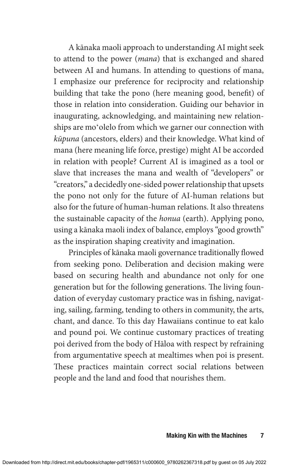A kānaka maoli approach to understanding AI might seek to attend to the power (*mana*) that is exchanged and shared between AI and humans. In attending to questions of mana, I emphasize our preference for reciprocity and relationship building that take the pono (here meaning good, benefit) of those in relation into consideration. Guiding our behavior in inaugurating, acknowledging, and maintaining new relationships are moʻolelo from which we garner our connection with *kūpuna* (ancestors, elders) and their knowledge. What kind of mana (here meaning life force, prestige) might AI be accorded in relation with people? Current AI is imagined as a tool or slave that increases the mana and wealth of "developers" or "creators," a decidedly one-sided power relationship that upsets the pono not only for the future of AI-human relations but also for the future of human-human relations. It also threatens the sustainable capacity of the *honua* (earth). Applying pono, using a kānaka maoli index of balance, employs "good growth" as the inspiration shaping creativity and imagination.

Principles of kānaka maoli governance traditionally flowed from seeking pono. Deliberation and decision making were based on securing health and abundance not only for one generation but for the following generations. The living foundation of everyday customary practice was in fishing, navigating, sailing, farming, tending to others in community, the arts, chant, and dance. To this day Hawaiians continue to eat kalo and pound poi. We continue customary practices of treating poi derived from the body of Hāloa with respect by refraining from argumentative speech at mealtimes when poi is present. These practices maintain correct social relations between people and the land and food that nourishes them.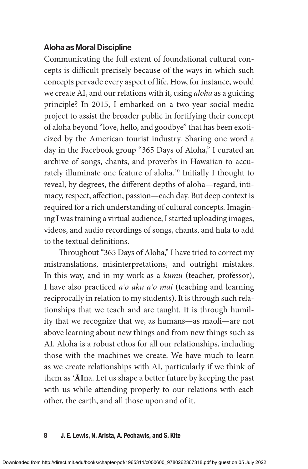# Aloha as Moral Discipline

Communicating the full extent of foundational cultural concepts is difficult precisely because of the ways in which such concepts pervade every aspect of life. How, for instance, would we create AI, and our relations with it, using *aloha* as a guiding principle? In 2015, I embarked on a two-year social media project to assist the broader public in fortifying their concept of aloha beyond "love, hello, and goodbye" that has been exoticized by the American tourist industry. Sharing one word a day in the Facebook group "365 Days of Aloha," I curated an archive of songs, chants, and proverbs in Hawaiian to accurately illuminate one feature of aloha.<sup>10</sup> Initially I thought to reveal, by degrees, the different depths of aloha—regard, intimacy, respect, affection, passion—each day. But deep context is required for a rich understanding of cultural concepts. Imagining I was training a virtual audience, I started uploading images, videos, and audio recordings of songs, chants, and hula to add to the textual definitions.

Throughout "365 Days of Aloha," I have tried to correct my mistranslations, misinterpretations, and outright mistakes. In this way, and in my work as a *kumu* (teacher, professor), I have also practiced *aʻo aku aʻo mai* (teaching and learning reciprocally in relation to my students). It is through such relationships that we teach and are taught. It is through humility that we recognize that we, as humans—as maoli—are not above learning about new things and from new things such as AI. Aloha is a robust ethos for all our relationships, including those with the machines we create. We have much to learn as we create relationships with AI, particularly if we think of them as ʻ**ĀI**na. Let us shape a better future by keeping the past with us while attending properly to our relations with each other, the earth, and all those upon and of it.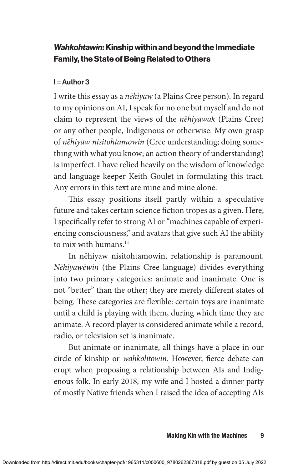# *Wahkohtawin*: Kinship within and beyond the Immediate Family, the State of Being Related to Others

# $I =$ Author 3

I write this essay as a *nēhiyaw* (a Plains Cree person). In regard to my opinions on AI, I speak for no one but myself and do not claim to represent the views of the *nēhiyawak* (Plains Cree) or any other people, Indigenous or otherwise. My own grasp of *nēhiyaw nisitohtamowin* (Cree understanding; doing something with what you know; an action theory of understanding) is imperfect. I have relied heavily on the wisdom of knowledge and language keeper Keith Goulet in formulating this tract. Any errors in this text are mine and mine alone.

This essay positions itself partly within a speculative future and takes certain science fiction tropes as a given. Here, I specifically refer to strong AI or "machines capable of experiencing consciousness," and avatars that give such AI the ability to mix with humans. $11$ 

In nēhiyaw nisitohtamowin, relationship is paramount. *Nēhiyawēwin* (the Plains Cree language) divides everything into two primary categories: animate and inanimate. One is not "better" than the other; they are merely different states of being. These categories are flexible: certain toys are inanimate until a child is playing with them, during which time they are animate. A record player is considered animate while a record, radio, or television set is inanimate.

But animate or inanimate, all things have a place in our circle of kinship or *wahkohtowin*. However, fierce debate can erupt when proposing a relationship between AIs and Indigenous folk. In early 2018, my wife and I hosted a dinner party of mostly Native friends when I raised the idea of accepting AIs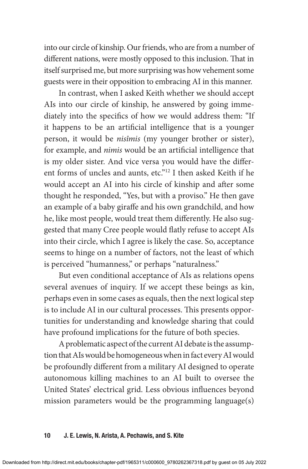into our circle of kinship. Our friends, who are from a number of different nations, were mostly opposed to this inclusion. That in itself surprised me, but more surprising was how vehement some guests were in their opposition to embracing AI in this manner.

In contrast, when I asked Keith whether we should accept AIs into our circle of kinship, he answered by going immediately into the specifics of how we would address them: "If it happens to be an artificial intelligence that is a younger person, it would be *nisîmis* (my younger brother or sister), for example, and *nimis* would be an artificial intelligence that is my older sister. And vice versa you would have the different forms of uncles and aunts, etc."12 I then asked Keith if he would accept an AI into his circle of kinship and after some thought he responded, "Yes, but with a proviso." He then gave an example of a baby giraffe and his own grandchild, and how he, like most people, would treat them differently. He also suggested that many Cree people would flatly refuse to accept AIs into their circle, which I agree is likely the case. So, acceptance seems to hinge on a number of factors, not the least of which is perceived "humanness," or perhaps "naturalness."

But even conditional acceptance of AIs as relations opens several avenues of inquiry. If we accept these beings as kin, perhaps even in some cases as equals, then the next logical step is to include AI in our cultural processes. This presents opportunities for understanding and knowledge sharing that could have profound implications for the future of both species.

A problematic aspect of the current AI debate is the assumption that AIs would be homogeneous when in fact every AI would be profoundly different from a military AI designed to operate autonomous killing machines to an AI built to oversee the United States' electrical grid. Less obvious influences beyond mission parameters would be the programming language(s)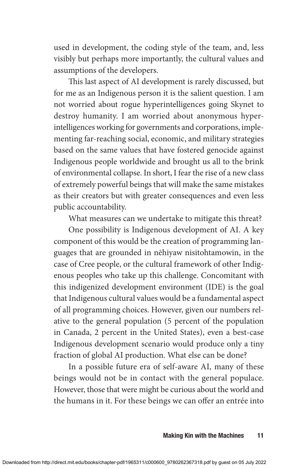used in development, the coding style of the team, and, less visibly but perhaps more importantly, the cultural values and assumptions of the developers.

This last aspect of AI development is rarely discussed, but for me as an Indigenous person it is the salient question. I am not worried about rogue hyperintelligences going Skynet to destroy humanity. I am worried about anonymous hyperintelligences working for governments and corporations, implementing far-reaching social, economic, and military strategies based on the same values that have fostered genocide against Indigenous people worldwide and brought us all to the brink of environmental collapse. In short, I fear the rise of a new class of extremely powerful beings that will make the same mistakes as their creators but with greater consequences and even less public accountability.

What measures can we undertake to mitigate this threat?

One possibility is Indigenous development of AI. A key component of this would be the creation of programming languages that are grounded in nēhiyaw nisitohtamowin, in the case of Cree people, or the cultural framework of other Indigenous peoples who take up this challenge. Concomitant with this indigenized development environment (IDE) is the goal that Indigenous cultural values would be a fundamental aspect of all programming choices. However, given our numbers relative to the general population (5 percent of the population in Canada, 2 percent in the United States), even a best-case Indigenous development scenario would produce only a tiny fraction of global AI production. What else can be done?

In a possible future era of self-aware AI, many of these beings would not be in contact with the general populace. However, those that were might be curious about the world and the humans in it. For these beings we can offer an entrée into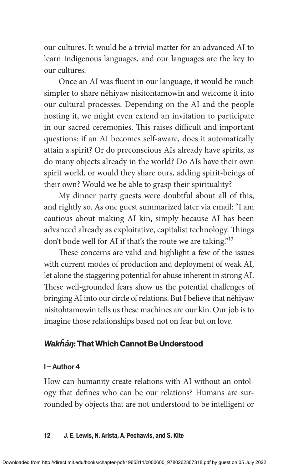our cultures. It would be a trivial matter for an advanced AI to learn Indigenous languages, and our languages are the key to our cultures.

Once an AI was fluent in our language, it would be much simpler to share nēhiyaw nisitohtamowin and welcome it into our cultural processes. Depending on the AI and the people hosting it, we might even extend an invitation to participate in our sacred ceremonies. This raises difficult and important questions: if an AI becomes self-aware, does it automatically attain a spirit? Or do preconscious AIs already have spirits, as do many objects already in the world? Do AIs have their own spirit world, or would they share ours, adding spirit-beings of their own? Would we be able to grasp their spirituality?

My dinner party guests were doubtful about all of this, and rightly so. As one guest summarized later via email: "I am cautious about making AI kin, simply because AI has been advanced already as exploitative, capitalist technology. Things don't bode well for AI if that's the route we are taking."<sup>13</sup>

These concerns are valid and highlight a few of the issues with current modes of production and deployment of weak AI, let alone the staggering potential for abuse inherent in strong AI. These well-grounded fears show us the potential challenges of bringing AI into our circle of relations. But I believe that nēhiyaw nisitohtamowin tells us these machines are our kin. Our job is to imagine those relationships based not on fear but on love.

# *Wakȟáŋ*: That Which Cannot Be Understood

### $I =$ Author 4

How can humanity create relations with AI without an ontology that defines who can be our relations? Humans are surrounded by objects that are not understood to be intelligent or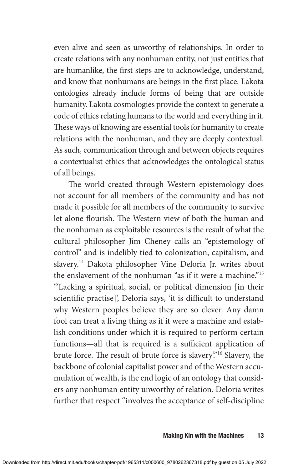even alive and seen as unworthy of relationships. In order to create relations with any nonhuman entity, not just entities that are humanlike, the first steps are to acknowledge, understand, and know that nonhumans are beings in the first place. Lakota ontologies already include forms of being that are outside humanity. Lakota cosmologies provide the context to generate a code of ethics relating humans to the world and everything in it. These ways of knowing are essential tools for humanity to create relations with the nonhuman, and they are deeply contextual. As such, communication through and between objects requires a contextualist ethics that acknowledges the ontological status of all beings.

The world created through Western epistemology does not account for all members of the community and has not made it possible for all members of the community to survive let alone flourish. The Western view of both the human and the nonhuman as exploitable resources is the result of what the cultural philosopher Jim Cheney calls an "epistemology of control" and is indelibly tied to colonization, capitalism, and slavery.14 Dakota philosopher Vine Deloria Jr. writes about the enslavement of the nonhuman "as if it were a machine."15 "'Lacking a spiritual, social, or political dimension [in their scientific practise]', Deloria says, 'it is difficult to understand why Western peoples believe they are so clever. Any damn fool can treat a living thing as if it were a machine and establish conditions under which it is required to perform certain functions—all that is required is a sufficient application of brute force. The result of brute force is slavery."<sup>16</sup> Slavery, the backbone of colonial capitalist power and of the Western accumulation of wealth, is the end logic of an ontology that considers any nonhuman entity unworthy of relation. Deloria writes further that respect "involves the acceptance of self-discipline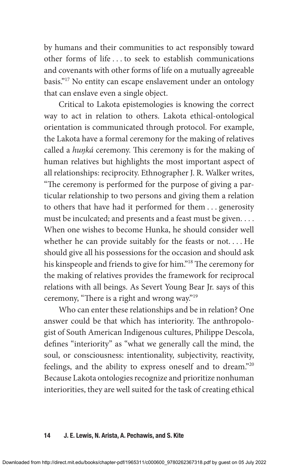by humans and their communities to act responsibly toward other forms of life . . . to seek to establish communications and covenants with other forms of life on a mutually agreeable basis."17 No entity can escape enslavement under an ontology that can enslave even a single object.

Critical to Lakota epistemologies is knowing the correct way to act in relation to others. Lakota ethical-ontological orientation is communicated through protocol. For example, the Lakota have a formal ceremony for the making of relatives called a *huŋká* ceremony. This ceremony is for the making of human relatives but highlights the most important aspect of all relationships: reciprocity. Ethnographer J. R. Walker writes, "The ceremony is performed for the purpose of giving a particular relationship to two persons and giving them a relation to others that have had it performed for them . . . generosity must be inculcated; and presents and a feast must be given. . . . When one wishes to become Hunka, he should consider well whether he can provide suitably for the feasts or not. . . . He should give all his possessions for the occasion and should ask his kinspeople and friends to give for him."18 The ceremony for the making of relatives provides the framework for reciprocal relations with all beings. As Severt Young Bear Jr. says of this ceremony, "There is a right and wrong way."19

Who can enter these relationships and be in relation? One answer could be that which has interiority. The anthropologist of South American Indigenous cultures, Philippe Descola, defines "interiority" as "what we generally call the mind, the soul, or consciousness: intentionality, subjectivity, reactivity, feelings, and the ability to express oneself and to dream."20 Because Lakota ontologies recognize and prioritize nonhuman interiorities, they are well suited for the task of creating ethical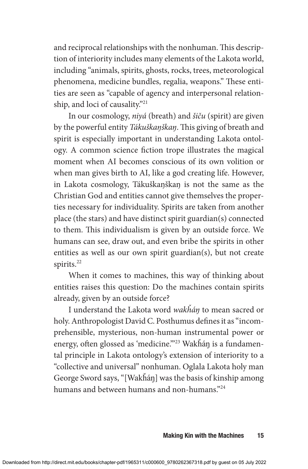and reciprocal relationships with the nonhuman. This description of interiority includes many elements of the Lakota world, including "animals, spirits, ghosts, rocks, trees, meteorological phenomena, medicine bundles, regalia, weapons." These entities are seen as "capable of agency and interpersonal relationship, and loci of causality."21

In our cosmology, *niyá* (breath) and *šiču* (spirit) are given by the powerful entity *Tákuškaŋškaŋ*. This giving of breath and spirit is especially important in understanding Lakota ontology. A common science fiction trope illustrates the magical moment when AI becomes conscious of its own volition or when man gives birth to AI, like a god creating life. However, in Lakota cosmology, Tákuškaŋškaŋ is not the same as the Christian God and entities cannot give themselves the properties necessary for individuality. Spirits are taken from another place (the stars) and have distinct spirit guardian(s) connected to them. This individualism is given by an outside force. We humans can see, draw out, and even bribe the spirits in other entities as well as our own spirit guardian(s), but not create spirits.<sup>22</sup>

When it comes to machines, this way of thinking about entities raises this question: Do the machines contain spirits already, given by an outside force?

I understand the Lakota word *wakȟáŋ* to mean sacred or holy. Anthropologist David C. Posthumus defines it as "incomprehensible, mysterious, non-human instrumental power or energy, often glossed as 'medicine."<sup>23</sup> Wakȟáŋ is a fundamental principle in Lakota ontology's extension of interiority to a "collective and universal" nonhuman. Oglala Lakota holy man George Sword says, "[Wakȟáŋ] was the basis of kinship among humans and between humans and non-humans."<sup>24</sup>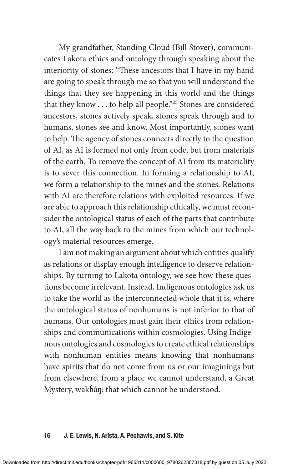My grandfather, Standing Cloud (Bill Stover), communicates Lakota ethics and ontology through speaking about the interiority of stones: "These ancestors that I have in my hand are going to speak through me so that you will understand the things that they see happening in this world and the things that they know . . . to help all people."25 Stones are considered ancestors, stones actively speak, stones speak through and to humans, stones see and know. Most importantly, stones want to help. The agency of stones connects directly to the question of AI, as AI is formed not only from code, but from materials of the earth. To remove the concept of AI from its materiality is to sever this connection. In forming a relationship to AI, we form a relationship to the mines and the stones. Relations with AI are therefore relations with exploited resources. If we are able to approach this relationship ethically, we must reconsider the ontological status of each of the parts that contribute to AI, all the way back to the mines from which our technology's material resources emerge.

I am not making an argument about which entities qualify as relations or display enough intelligence to deserve relationships. By turning to Lakota ontology, we see how these questions become irrelevant. Instead, Indigenous ontologies ask us to take the world as the interconnected whole that it is, where the ontological status of nonhumans is not inferior to that of humans. Our ontologies must gain their ethics from relationships and communications within cosmologies. Using Indigenous ontologies and cosmologies to create ethical relationships with nonhuman entities means knowing that nonhumans have spirits that do not come from us or our imaginings but from elsewhere, from a place we cannot understand, a Great Mystery, wakȟáŋ: that which cannot be understood.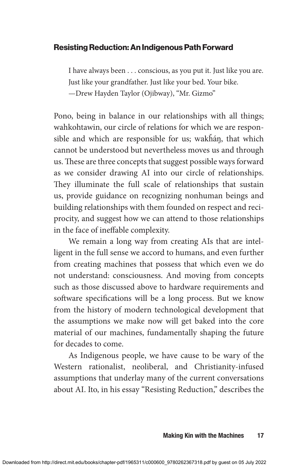# Resisting Reduction: An Indigenous Path Forward

I have always been . . . conscious, as you put it. Just like you are. Just like your grandfather. Just like your bed. Your bike. —Drew Hayden Taylor (Ojibway), "Mr. Gizmo"

Pono, being in balance in our relationships with all things; wahkohtawin, our circle of relations for which we are responsible and which are responsible for us; wakȟáŋ, that which cannot be understood but nevertheless moves us and through us. These are three concepts that suggest possible ways forward as we consider drawing AI into our circle of relationships. They illuminate the full scale of relationships that sustain us, provide guidance on recognizing nonhuman beings and building relationships with them founded on respect and reciprocity, and suggest how we can attend to those relationships in the face of ineffable complexity.

We remain a long way from creating AIs that are intelligent in the full sense we accord to humans, and even further from creating machines that possess that which even we do not understand: consciousness. And moving from concepts such as those discussed above to hardware requirements and software specifications will be a long process. But we know from the history of modern technological development that the assumptions we make now will get baked into the core material of our machines, fundamentally shaping the future for decades to come.

As Indigenous people, we have cause to be wary of the Western rationalist, neoliberal, and Christianity-infused assumptions that underlay many of the current conversations about AI. Ito, in his essay "Resisting Reduction," describes the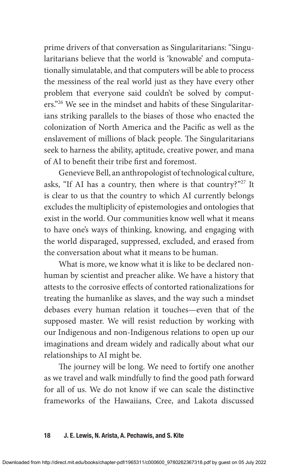prime drivers of that conversation as Singularitarians: "Singularitarians believe that the world is 'knowable' and computationally simulatable, and that computers will be able to process the messiness of the real world just as they have every other problem that everyone said couldn't be solved by computers."26 We see in the mindset and habits of these Singularitarians striking parallels to the biases of those who enacted the colonization of North America and the Pacific as well as the enslavement of millions of black people. The Singularitarians seek to harness the ability, aptitude, creative power, and mana of AI to benefit their tribe first and foremost.

Genevieve Bell, an anthropologist of technological culture, asks, "If AI has a country, then where is that country?"<sup>27</sup> It is clear to us that the country to which AI currently belongs excludes the multiplicity of epistemologies and ontologies that exist in the world. Our communities know well what it means to have one's ways of thinking, knowing, and engaging with the world disparaged, suppressed, excluded, and erased from the conversation about what it means to be human.

What is more, we know what it is like to be declared nonhuman by scientist and preacher alike. We have a history that attests to the corrosive effects of contorted rationalizations for treating the humanlike as slaves, and the way such a mindset debases every human relation it touches—even that of the supposed master. We will resist reduction by working with our Indigenous and non-Indigenous relations to open up our imaginations and dream widely and radically about what our relationships to AI might be.

The journey will be long. We need to fortify one another as we travel and walk mindfully to find the good path forward for all of us. We do not know if we can scale the distinctive frameworks of the Hawaiians, Cree, and Lakota discussed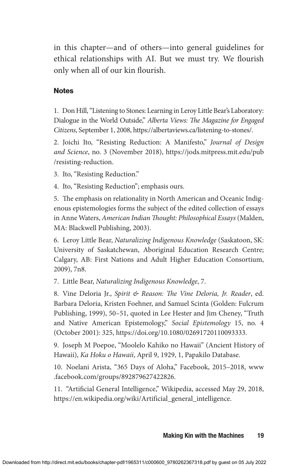in this chapter—and of others—into general guidelines for ethical relationships with AI. But we must try. We flourish only when all of our kin flourish.

# Notes

1. Don Hill, "Listening to Stones: Learning in Leroy Little Bear's Laboratory: Dialogue in the World Outside," *Alberta Views: The Magazine for Engaged Citizens*, September 1, 2008, [https://albertaviews.ca/listening-to-stones/.](https://albertaviews.ca/listening-to-stones/)

2. Joichi Ito, "Resisting Reduction: A Manifesto," *Journal of Design and Science*, no. 3 (November 2018), [https://jods.mitpress.mit.edu/pub](https://jods.mitpress.mit.edu/pub/resisting-reduction) [/resisting-reduction](https://jods.mitpress.mit.edu/pub/resisting-reduction).

3. Ito, "Resisting Reduction."

4. Ito, "Resisting Reduction"; emphasis ours.

5. The emphasis on relationality in North American and Oceanic Indigenous epistemologies forms the subject of the edited collection of essays in Anne Waters, *American Indian Thought: Philosophical Essays* (Malden, MA: Blackwell Publishing, 2003).

6. Leroy Little Bear, *Naturalizing Indigenous Knowledge* (Saskatoon, SK: University of Saskatchewan, Aboriginal Education Research Centre; Calgary, AB: First Nations and Adult Higher Education Consortium, 2009), 7n8.

7. Little Bear, *Naturalizing Indigenous Knowledge*, 7.

8. Vine Deloria Jr., *Spirit & Reason: The Vine Deloria, Jr. Reader*, ed. Barbara Deloria, Kristen Foehner, and Samuel Scinta (Golden: Fulcrum Publishing, 1999), 50–51, quoted in Lee Hester and Jim Cheney, "Truth and Native American Epistemology," *Social Epistemology* 15, no. 4 (October 2001): 325,<https://doi.org/10.1080/02691720110093333>.

9. Joseph M Poepoe, "Moolelo Kahiko no Hawaii" (Ancient History of Hawaii), *Ka Hoku o Hawaii*, April 9, 1929, 1, Papakilo Database.

10. Noelani Arista, "365 Days of Aloha," Facebook, 2015–2018, [www](http://www.facebook.com/groups/892879627422826) [.facebook.com/groups/892879627422826.](http://www.facebook.com/groups/892879627422826)

11. "Artificial General Intelligence," Wikipedia, accessed May 29, 2018, [https://en.wikipedia.org/wiki/Artificial\\_general\\_intelligence](https://en.wikipedia.org/wiki/Artificial_general_intelligence).

### Making Kin with the Machines 19